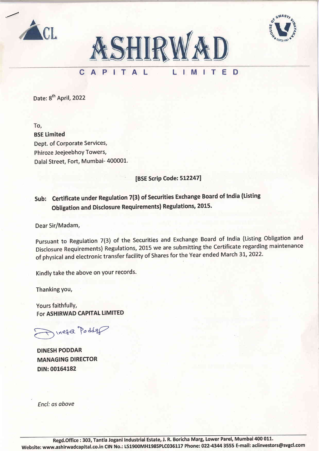





### CAPITAL LIMITE D

Date: 8<sup>th</sup> April, 2022

To, BSE Limited Dept. of Corporate Services, Phiroze Jeejeebhoy Towers, Dalal Street, Fort, Mumbai- 400001.

[BSE Scrip Code: 512247]

# Sub: Certificate under Regulation 7(3) of Securities Exchange Board of India (Listing obligation and Disclosure Requirements) Regulations, 2015.

Dear Sir/Madam,

Pursuant to Regulation 7(3) of the Securities and Exchange Board of India (Listing Obligation and Disclosure Requirements) Regulations, 2015 we are submitting the Certificate regarding maintenance of physical and electronic transfer facility of Shares for the Year ended March 31, 2022.

Kindly take the above on your records.

Thanking you,

Yours faithfully, For ASHIRWAD CAPITAL LIMITED

Inesa Podder

DINESH PODDAR MANAGING DIRECfOR DIN: 00164182

Encl: as obove